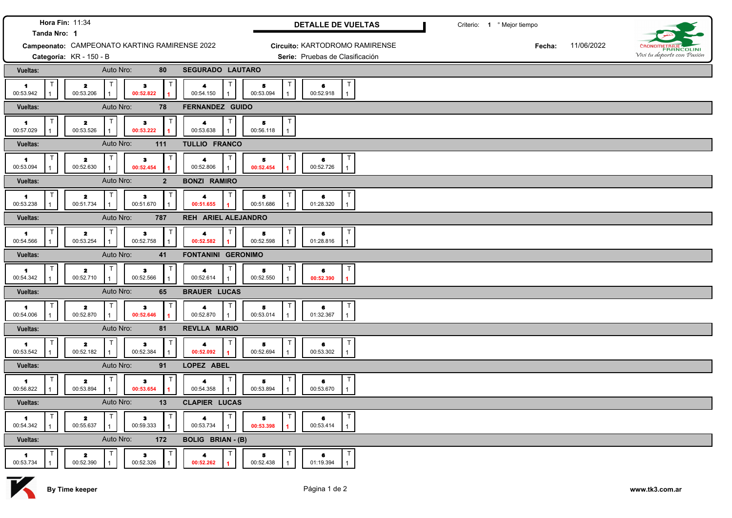| Hora Fin: 11:34<br>Tanda Nro: 1   |                                                           |                                        | DETALLE DE VUELTAS                                |                          | Criterio: 1 º Mejor tiempo                     |  |        |            |                            |
|-----------------------------------|-----------------------------------------------------------|----------------------------------------|---------------------------------------------------|--------------------------|------------------------------------------------|--|--------|------------|----------------------------|
|                                   | Campeonato: CAMPEONATO KARTING RAMIRENSE 2022             |                                        |                                                   |                          | Circuito: KARTODROMO RAMIRENSE                 |  | Fecha: | 11/06/2022 | <b>RANCOLINI</b>           |
|                                   | Categoría: KR - 150 - B                                   |                                        |                                                   |                          | Serie: Pruebas de Clasificación                |  |        |            | Vivi tu deporte con Pasión |
| Vueltas:                          | Auto Nro:                                                 | 80                                     | SEGURADO LAUTARO                                  |                          |                                                |  |        |            |                            |
| $\blacktriangleleft$<br>00:53.942 | $\mathbf{z}$<br>00:53.206                                 | $\bullet$<br>00:52.822                 | 4<br>00:54.150                                    | 5<br>00:53.094           | $\mathsf{T}$<br>6<br>00:52.918<br>$\mathbf{1}$ |  |        |            |                            |
| Vueltas:                          | Auto Nro:                                                 | 78                                     | <b>FERNANDEZ GUIDO</b>                            |                          |                                                |  |        |            |                            |
| $\blacksquare$<br>00:57.029       | $\mathbf{z}$<br>00:53.526                                 | $\bullet$<br>00:53.222                 | $\blacktriangleleft$<br>00:53.638                 | T<br>5<br>00:56.118      |                                                |  |        |            |                            |
| Vueltas:                          | Auto Nro:                                                 | 111                                    | TULLIO FRANCO                                     |                          |                                                |  |        |            |                            |
| $\blacksquare$<br>00:53.094       | $\mathbf{z}$<br>00:52.630                                 | $\bf 3$<br>00:52.454                   | $\mathsf{T}$<br>$\blacktriangleleft$<br>00:52.806 | т<br>5<br>00:52.454      | T<br>6<br>00:52.726<br>$\mathbf{1}$            |  |        |            |                            |
| Vueltas:                          | Auto Nro:                                                 | $\overline{2}$                         | <b>BONZI RAMIRO</b>                               |                          |                                                |  |        |            |                            |
| $\blacktriangleleft$<br>00:53.238 | $\mathsf{T}$<br>$\overline{\mathbf{2}}$<br>00:51.734<br>1 | $\mathsf{T}$<br>$\bullet$<br>00:51.670 | $\mathsf{T}$<br>4<br>00:51.655                    | Τ<br>5<br>00:51.686      | T<br>6<br>01:28.320<br>$\mathbf{1}$            |  |        |            |                            |
| Vueltas:                          | Auto Nro:                                                 | 787                                    | REH ARIEL ALEJANDRO                               |                          |                                                |  |        |            |                            |
| $\blacktriangleleft$<br>00:54.566 | T<br>$\mathbf{z}$<br>00:53.254<br>$\mathbf{1}$            | $\bullet$<br>00:52.758                 | $\mathbf{T}$<br>4<br>00:52.582                    | $\top$<br>5<br>00:52.598 | T<br>6<br>01:28.816<br>$\mathbf{1}$            |  |        |            |                            |
| Vueltas:                          | Auto Nro:                                                 | 41                                     | <b>FONTANINI GERONIMO</b>                         |                          |                                                |  |        |            |                            |
| $\blacktriangleleft$<br>00:54.342 | T<br>$\mathbf{z}$<br>00:52.710                            | $\bullet$<br>00:52.566                 | $\mathsf{T}$<br>4<br>00:52.614                    | T<br>5<br>00:52.550      | T<br>6<br>00:52.390<br>$\blacksquare$          |  |        |            |                            |
| <b>Vueltas:</b>                   | Auto Nro:                                                 | 65                                     | <b>BRAUER LUCAS</b>                               |                          |                                                |  |        |            |                            |
| $\blacktriangleleft$<br>00:54.006 | $\mathbf{z}$<br>00:52.870                                 | $\bullet$<br>00:52.646                 | 4<br>00:52.870                                    | T<br>5<br>00:53.014      | T<br>6<br>01:32.367<br>$\mathbf{1}$            |  |        |            |                            |
| <b>Vueltas:</b>                   | Auto Nro:                                                 | 81                                     | <b>REVLLA MARIO</b>                               |                          |                                                |  |        |            |                            |
| $\blacktriangleleft$<br>00:53.542 | $\mathbf{z}$<br>00:52.182                                 | $\bullet$<br>00:52.384                 | 4<br>00:52.092                                    | Т<br>5<br>00:52.694      | T<br>6<br>00:53.302<br>$\mathbf{1}$            |  |        |            |                            |
| Vueltas:                          | Auto Nro:                                                 | 91                                     | LOPEZ ABEL                                        |                          |                                                |  |        |            |                            |
| $\blacksquare$<br>00:56.822       | $\mathbf{z}$<br>00:53.894                                 | $\mathbf{3}$<br>00:53.654              | $\blacktriangleleft$<br>00:54.358                 | Т<br>5<br>00:53.894      | T<br>6<br>00:53.670<br>$\mathbf{1}$            |  |        |            |                            |
| <b>Vueltas:</b>                   | Auto Nro:                                                 | 13                                     | <b>CLAPIER LUCAS</b>                              |                          |                                                |  |        |            |                            |
| -1<br>00:54.342                   | $\mathbf{z}$<br>00:55.637                                 | 3<br>00:59.333                         | $\blacktriangleleft$<br>00:53.734                 | T<br>5<br>00:53.398      | T<br>6<br>00:53.414<br>$\mathbf{1}$            |  |        |            |                            |
| <b>Vueltas:</b>                   | Auto Nro:                                                 | 172                                    | <b>BOLIG BRIAN - (B)</b>                          |                          |                                                |  |        |            |                            |
| $\blacksquare$<br>00:53.734       | $\mathbf{z}$<br>00:52.390                                 | з<br>00:52.326                         | 4<br>00:52.262                                    | т<br>5<br>00:52.438      | T<br>6<br>01:19.394<br>$\mathbf{1}$            |  |        |            |                            |